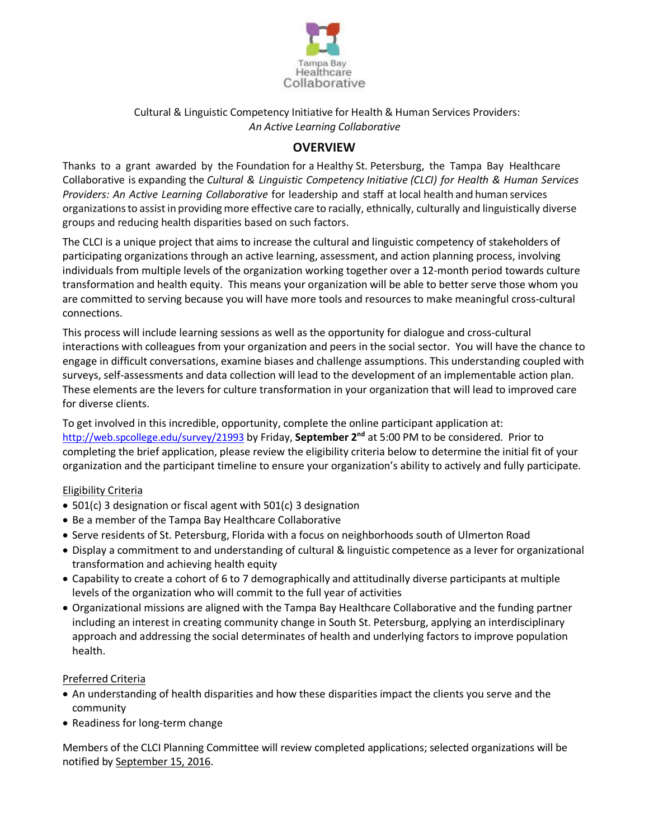

## Cultural & Linguistic Competency Initiative for Health & Human Services Providers: *An Active Learning Collaborative*

# **OVERVIEW**

Thanks to a grant awarded by the Foundation for a Healthy St. Petersburg, the Tampa Bay Healthcare Collaborative is expanding the *Cultural & Linguistic Competency Initiative (CLCI) for Health & Human Services Providers: An Active Learning Collaborative* for leadership and staff at local health and human services organizations to assist in providing more effective care to racially, ethnically, culturally and linguistically diverse groups and reducing health disparities based on such factors.

The CLCI is a unique project that aims to increase the cultural and linguistic competency of stakeholders of participating organizations through an active learning, assessment, and action planning process, involving individuals from multiple levels of the organization working together over a 12-month period towards culture transformation and health equity. This means your organization will be able to better serve those whom you are committed to serving because you will have more tools and resources to make meaningful cross-cultural connections.

This process will include learning sessions as well as the opportunity for dialogue and cross-cultural interactions with colleagues from your organization and peers in the social sector. You will have the chance to engage in difficult conversations, examine biases and challenge assumptions. This understanding coupled with surveys, self-assessments and data collection will lead to the development of an implementable action plan. These elements are the levers for culture transformation in your organization that will lead to improved care for diverse clients.

To get involved in this incredible, opportunity, complete the online participant application at: <http://web.spcollege.edu/survey/21993> by Friday, **September 2nd** at 5:00 PM to be considered. Prior to completing the brief application, please review the eligibility criteria below to determine the initial fit of your organization and the participant timeline to ensure your organization's ability to actively and fully participate.

## Eligibility Criteria

- 501(c) 3 designation or fiscal agent with 501(c) 3 designation
- Be a member of the Tampa Bay Healthcare Collaborative
- Serve residents of St. Petersburg, Florida with a focus on neighborhoods south of Ulmerton Road
- Display a commitment to and understanding of cultural & linguistic competence as a lever for organizational transformation and achieving health equity
- Capability to create a cohort of 6 to 7 demographically and attitudinally diverse participants at multiple levels of the organization who will commit to the full year of activities
- Organizational missions are aligned with the Tampa Bay Healthcare Collaborative and the funding partner including an interest in creating community change in South St. Petersburg, applying an interdisciplinary approach and addressing the social determinates of health and underlying factors to improve population health.

## Preferred Criteria

- An understanding of health disparities and how these disparities impact the clients you serve and the community
- Readiness for long-term change

Members of the CLCI Planning Committee will review completed applications; selected organizations will be notified by September 15, 2016.